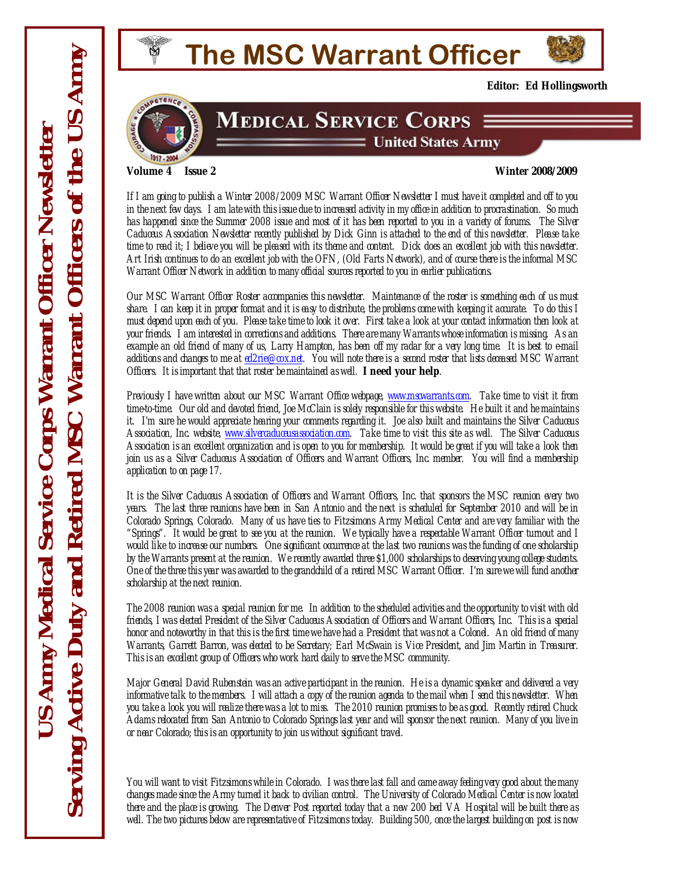

**MEDICAL SERVICE CORPS** 

 $\equiv$  United States Army



<span id="page-0-0"></span>

**Editor: Ed Hollingsworth** 

*If I am going to publish a Winter 2008/2009 MSC Warrant Officer Newsletter I must have it completed and off to you in the next few days. I am late with this issue due to increased activity in my office in addition to procrastination. So much has happened since the Summer 2008 issue and most of it has been reported to you in a variety of forums. The Silver Caduceus Association Newsletter recently published by Dick Ginn is attached to the end of this newsletter. Please take time to read it; I believe you will be pleased with its theme and content. Dick does an excellent job with this newsletter. Art Irish continues to do an excellent job with the OFN, (Old Farts Network), and of course there is the informal MSC Warrant Officer Network in addition to many official sources reported to you in earlier publications.* 

*Our MSC Warrant Officer Roster accompanies this newsletter. Maintenance of the roster is something each of us must share. I can keep it in proper format and it is easy to distribute, the problems come with keeping it accurate. To do this I must depend upon each of you. Please take time to look it over. First take a look at your contact information then look at your friends. I am interested in corrections and additions. There are many Warrants whose information is missing. As an example an old friend of many of us, Larry Hampton, has been off my radar for a very long time. It is best to e-mail additions and changes to me at [ed2rie@cox.net](mailto:ed2rie@cox.net). You will note there is a second roster that lists deceased MSC Warrant Officers. It is important that that roster be maintained as well.* **I need your help***.* 

*Previously I have written about our MSC Warrant Office webpage, [www.mscwarrants.com](http://www.mscwarrants.com/). Take time to visit it from time-to-time. Our old and devoted friend, Joe McClain is solely responsible for this website. He built it and he maintains it. I'm sure he would appreciate hearing your comments regarding it. Joe also built and maintains the Silver Caduceus Association, Inc. website, [www.silvercaduceusassociation.com.](http://www.silvercaduceusassociation.com/) Take time to visit this site as well. The Silver Caduceus Association is an excellent organization and is open to you for membership. It would be great if you will take a look then join us as a Silver Caduceus Association of Officers and Warrant Officers, Inc. member. You will find a membership application to on page 17.* 

*It is the Silver Caduceus Association of Officers and Warrant Officers, Inc. that sponsors the MSC reunion every two years. The last three reunions have been in San Antonio and the next is scheduled for September 2010 and will be in Colorado Springs, Colorado. Many of us have ties to Fitzsimons Army Medical Center and are very familiar with the "Springs". It would be great to see you at the reunion. We typically have a respectable Warrant Officer turnout and I would like to increase our numbers. One significant occurrence at the last two reunions was the funding of one scholarship by the Warrants present at the reunion. We recently awarded three \$1,000 scholarships to deserving young college students. One of the three this year was awarded to the grandchild of a retired MSC Warrant Officer. I'm sure we will fund another scholarship at the next reunion.* 

*The 2008 reunion was a special reunion for me. In addition to the scheduled activities and the opportunity to visit with old friends, I was elected President of the Silver Caduceus Association of Officers and Warrant Officers, Inc. This is a special honor and noteworthy in that this is the first time we have had a President that was not a Colonel. An old friend of many Warrants, Garrett Barron, was elected to be Secretary; Earl McSwain is Vice President, and Jim Martin in Treasurer. This is an excellent group of Officers who work hard daily to serve the MSC community.* 

*Major General David Rubenstein was an active participant in the reunion. He is a dynamic speaker and delivered a very informative talk to the members. I will attach a copy of the reunion agenda to the mail when I send this newsletter. When you take a look you will realize there was a lot to miss. The 2010 reunion promises to be as good. Recently retired Chuck Adams relocated from San Antonio to Colorado Springs last year and will sponsor the next reunion. Many of you live in or near Colorado; this is an opportunity to join us without significant travel.* 

*You will want to visit Fitzsimons while in Colorado. I was there last fall and came away feeling very good about the many changes made since the Army turned it back to civilian control. The University of Colorado Medical Center is now located there and the place is growing. The Denver Post reported today that a new 200 bed VA Hospital will be built there as well. The two pictures below are representative of Fitzsimons today. Building 500, once the largest building on post is now*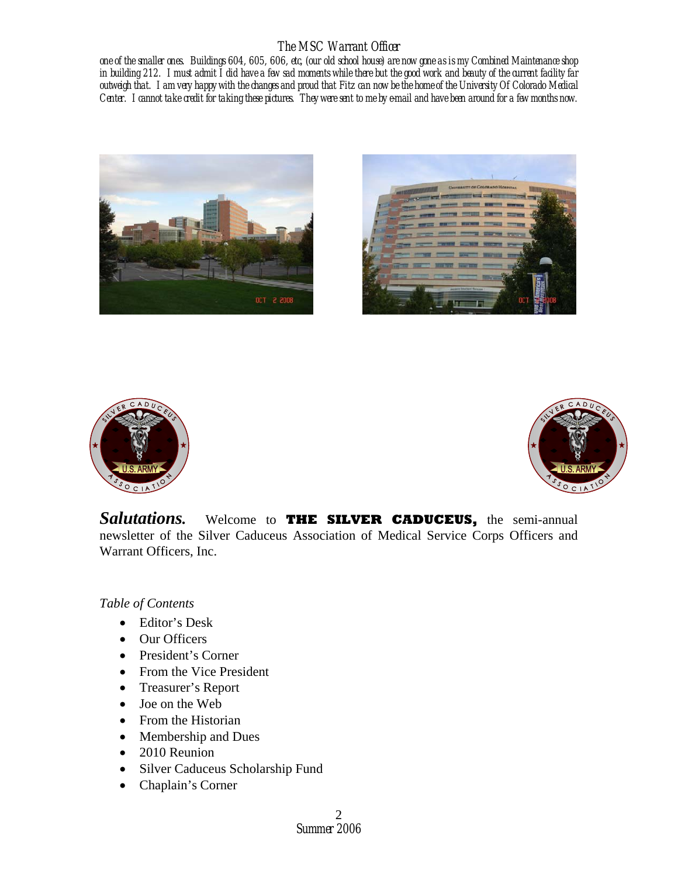*one of the smaller ones. Buildings 604, 605, 606, etc, (our old school house) are now gone as is my Combined Maintenance shop in building 212. I must admit I did have a few sad moments while there but the good work and beauty of the current facility far outweigh that. I am very happy with the changes and proud that Fitz can now be the home of the University Of Colorado Medical Center. I cannot take credit for taking these pictures. They were sent to me by e-mail and have been around for a few months now.* 









*Salutations.* Welcome to **THE SILVER CADUCEUS,** the semi-annual newsletter of the Silver Caduceus Association of Medical Service Corps Officers and Warrant Officers, Inc.

*Table of Contents* 

- Editor's Desk
- Our Officers
- President's Corner
- From the Vice President
- Treasurer's Report
- Joe on the Web
- From the Historian
- Membership and Dues
- 2010 Reunion
- Silver Caduceus Scholarship Fund
- Chaplain's Corner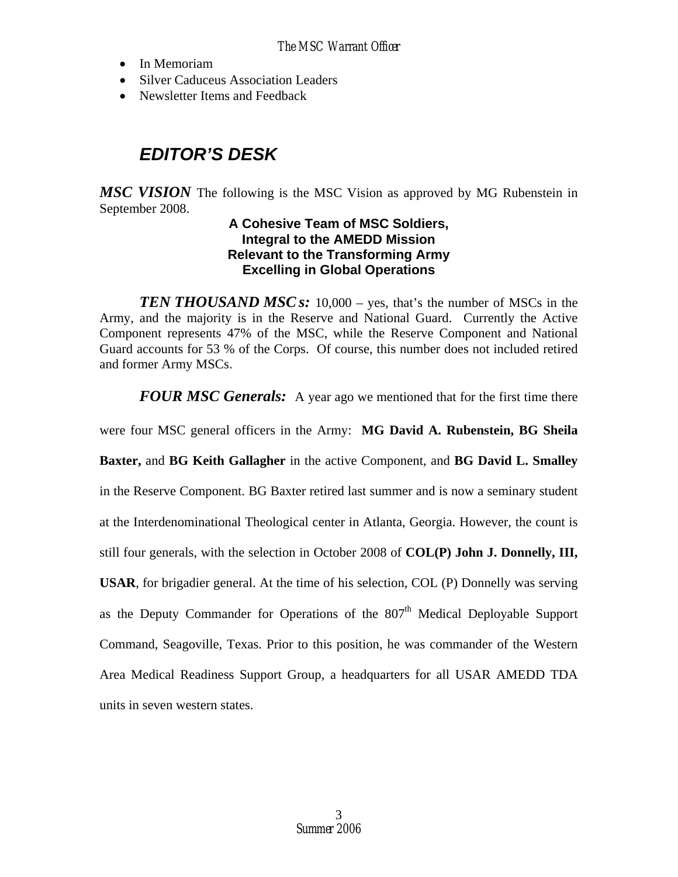- In Memoriam
- Silver Caduceus Association Leaders
- Newsletter Items and Feedback

# *EDITOR'S DESK*

*MSC VISION* The following is the MSC Vision as approved by MG Rubenstein in September 2008.

### **A Cohesive Team of MSC Soldiers, Integral to the AMEDD Mission Relevant to the Transforming Army Excelling in Global Operations**

*TEN THOUSAND MSC s:* 10,000 – yes, that's the number of MSCs in the Army, and the majority is in the Reserve and National Guard. Currently the Active Component represents 47% of the MSC, while the Reserve Component and National Guard accounts for 53 % of the Corps. Of course, this number does not included retired and former Army MSCs.

*FOUR MSC Generals:* A year ago we mentioned that for the first time there

were four MSC general officers in the Army: **MG David A. Rubenstein, BG Sheila** 

**Baxter,** and **BG Keith Gallagher** in the active Component, and **BG David L. Smalley**

in the Reserve Component. BG Baxter retired last summer and is now a seminary student

at the Interdenominational Theological center in Atlanta, Georgia. However, the count is

still four generals, with the selection in October 2008 of **COL(P) John J. Donnelly, III,** 

**USAR**, for brigadier general. At the time of his selection, COL (P) Donnelly was serving as the Deputy Commander for Operations of the  $807<sup>th</sup>$  Medical Deployable Support Command, Seagoville, Texas. Prior to this position, he was commander of the Western Area Medical Readiness Support Group, a headquarters for all USAR AMEDD TDA units in seven western states.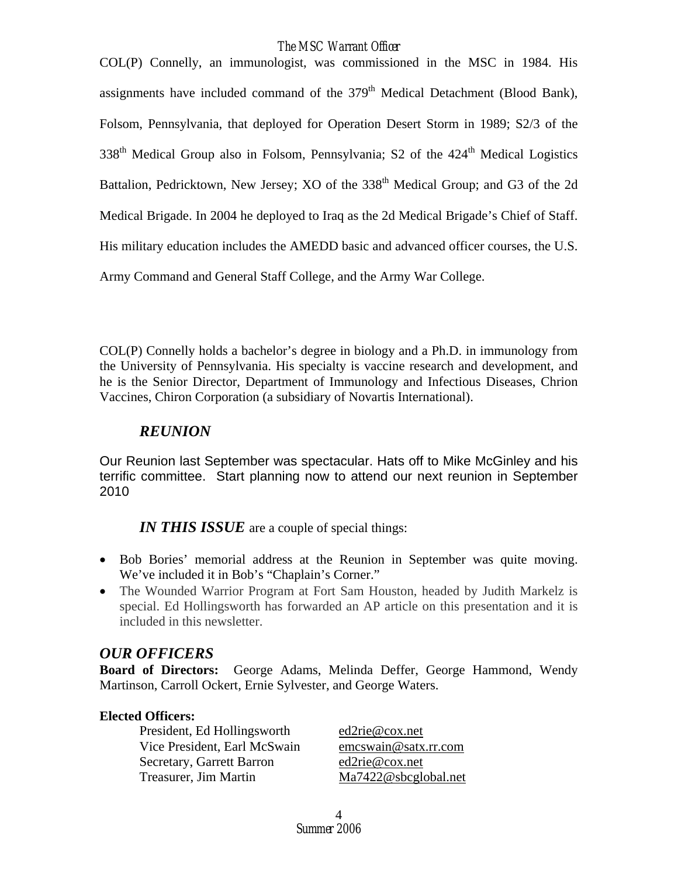COL(P) Connelly, an immunologist, was commissioned in the MSC in 1984. His assignments have included command of the  $379<sup>th</sup>$  Medical Detachment (Blood Bank), Folsom, Pennsylvania, that deployed for Operation Desert Storm in 1989; S2/3 of the  $338<sup>th</sup>$  Medical Group also in Folsom, Pennsylvania; S2 of the  $424<sup>th</sup>$  Medical Logistics Battalion, Pedricktown, New Jersey; XO of the 338<sup>th</sup> Medical Group; and G3 of the 2d Medical Brigade. In 2004 he deployed to Iraq as the 2d Medical Brigade's Chief of Staff. His military education includes the AMEDD basic and advanced officer courses, the U.S. Army Command and General Staff College, and the Army War College.

COL(P) Connelly holds a bachelor's degree in biology and a Ph.D. in immunology from the University of Pennsylvania. His specialty is vaccine research and development, and he is the Senior Director, Department of Immunology and Infectious Diseases, Chrion Vaccines, Chiron Corporation (a subsidiary of Novartis International).

## *REUNION*

Our Reunion last September was spectacular. Hats off to Mike McGinley and his terrific committee. Start planning now to attend our next reunion in September 2010

*IN THIS ISSUE* are a couple of special things:

- Bob Bories' memorial address at the Reunion in September was quite moving. We've included it in Bob's "Chaplain's Corner."
- The Wounded Warrior Program at Fort Sam Houston, headed by Judith Markelz is special. Ed Hollingsworth has forwarded an AP article on this presentation and it is included in this newsletter.

## *OUR OFFICERS*

**Board of Directors:** George Adams, Melinda Deffer, George Hammond, Wendy Martinson, Carroll Ockert, Ernie Sylvester, and George Waters.

## **Elected Officers:**

President, Ed Hollingsworth ed2rie@cox.net Vice President, Earl McSwain [emcswain@satx.rr.com](mailto:emcswain@satx.rr.com) Secretary, Garrett Barron [ed2rie@cox.net](mailto:ed2rie@cox.net) Treasurer, Jim Martin [Ma7422@sbcglobal.net](mailto:Ma7422@sbcglobal.net)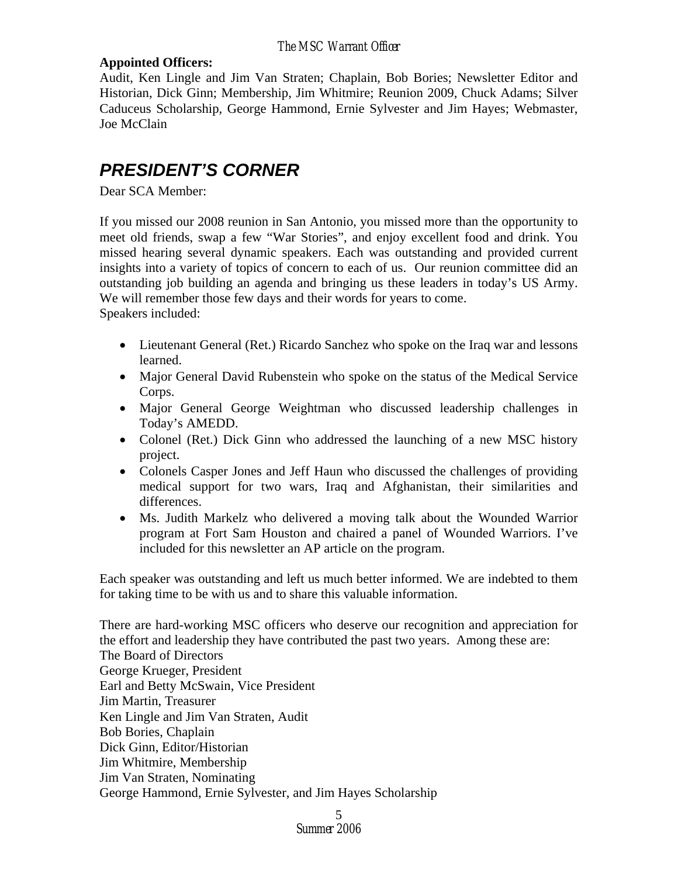### **Appointed Officers:**

Audit, Ken Lingle and Jim Van Straten; Chaplain, Bob Bories; Newsletter Editor and Historian, Dick Ginn; Membership, Jim Whitmire; Reunion 2009, Chuck Adams; Silver Caduceus Scholarship, George Hammond, Ernie Sylvester and Jim Hayes; Webmaster, Joe McClain

# *PRESIDENT'S CORNER*

Dear SCA Member:

If you missed our 2008 reunion in San Antonio, you missed more than the opportunity to meet old friends, swap a few "War Stories", and enjoy excellent food and drink. You missed hearing several dynamic speakers. Each was outstanding and provided current insights into a variety of topics of concern to each of us. Our reunion committee did an outstanding job building an agenda and bringing us these leaders in today's US Army. We will remember those few days and their words for years to come. Speakers included:

- Lieutenant General (Ret.) Ricardo Sanchez who spoke on the Iraq war and lessons learned.
- Major General David Rubenstein who spoke on the status of the Medical Service Corps.
- Major General George Weightman who discussed leadership challenges in Today's AMEDD.
- Colonel (Ret.) Dick Ginn who addressed the launching of a new MSC history project.
- Colonels Casper Jones and Jeff Haun who discussed the challenges of providing medical support for two wars, Iraq and Afghanistan, their similarities and differences.
- Ms. Judith Markelz who delivered a moving talk about the Wounded Warrior program at Fort Sam Houston and chaired a panel of Wounded Warriors. I've included for this newsletter an AP article on the program.

Each speaker was outstanding and left us much better informed. We are indebted to them for taking time to be with us and to share this valuable information.

There are hard-working MSC officers who deserve our recognition and appreciation for the effort and leadership they have contributed the past two years. Among these are: The Board of Directors George Krueger, President Earl and Betty McSwain, Vice President Jim Martin, Treasurer Ken Lingle and Jim Van Straten, Audit Bob Bories, Chaplain Dick Ginn, Editor/Historian Jim Whitmire, Membership Jim Van Straten, Nominating George Hammond, Ernie Sylvester, and Jim Hayes Scholarship

> *Summer 2006*  5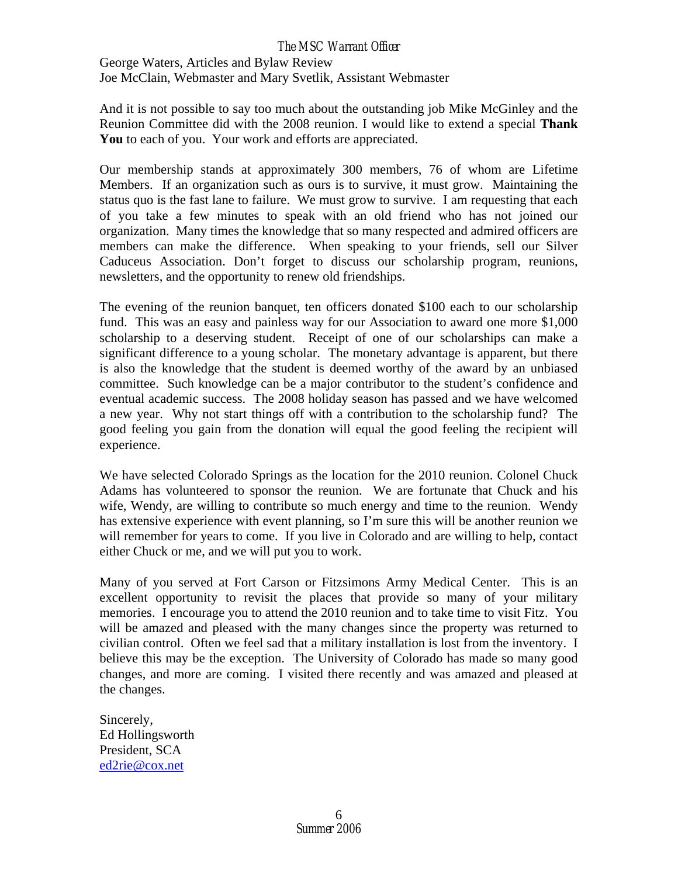George Waters, Articles and Bylaw Review Joe McClain, Webmaster and Mary Svetlik, Assistant Webmaster

And it is not possible to say too much about the outstanding job Mike McGinley and the Reunion Committee did with the 2008 reunion. I would like to extend a special **Thank You** to each of you. Your work and efforts are appreciated.

Our membership stands at approximately 300 members, 76 of whom are Lifetime Members. If an organization such as ours is to survive, it must grow. Maintaining the status quo is the fast lane to failure. We must grow to survive. I am requesting that each of you take a few minutes to speak with an old friend who has not joined our organization. Many times the knowledge that so many respected and admired officers are members can make the difference. When speaking to your friends, sell our Silver Caduceus Association. Don't forget to discuss our scholarship program, reunions, newsletters, and the opportunity to renew old friendships.

The evening of the reunion banquet, ten officers donated \$100 each to our scholarship fund. This was an easy and painless way for our Association to award one more \$1,000 scholarship to a deserving student. Receipt of one of our scholarships can make a significant difference to a young scholar. The monetary advantage is apparent, but there is also the knowledge that the student is deemed worthy of the award by an unbiased committee. Such knowledge can be a major contributor to the student's confidence and eventual academic success. The 2008 holiday season has passed and we have welcomed a new year. Why not start things off with a contribution to the scholarship fund? The good feeling you gain from the donation will equal the good feeling the recipient will experience.

We have selected Colorado Springs as the location for the 2010 reunion. Colonel Chuck Adams has volunteered to sponsor the reunion. We are fortunate that Chuck and his wife, Wendy, are willing to contribute so much energy and time to the reunion. Wendy has extensive experience with event planning, so I'm sure this will be another reunion we will remember for years to come. If you live in Colorado and are willing to help, contact either Chuck or me, and we will put you to work.

Many of you served at Fort Carson or Fitzsimons Army Medical Center. This is an excellent opportunity to revisit the places that provide so many of your military memories. I encourage you to attend the 2010 reunion and to take time to visit Fitz. You will be amazed and pleased with the many changes since the property was returned to civilian control. Often we feel sad that a military installation is lost from the inventory. I believe this may be the exception. The University of Colorado has made so many good changes, and more are coming. I visited there recently and was amazed and pleased at the changes.

Sincerely, Ed Hollingsworth President, SCA [ed2rie@cox.net](mailto:ed2rie@cox.net)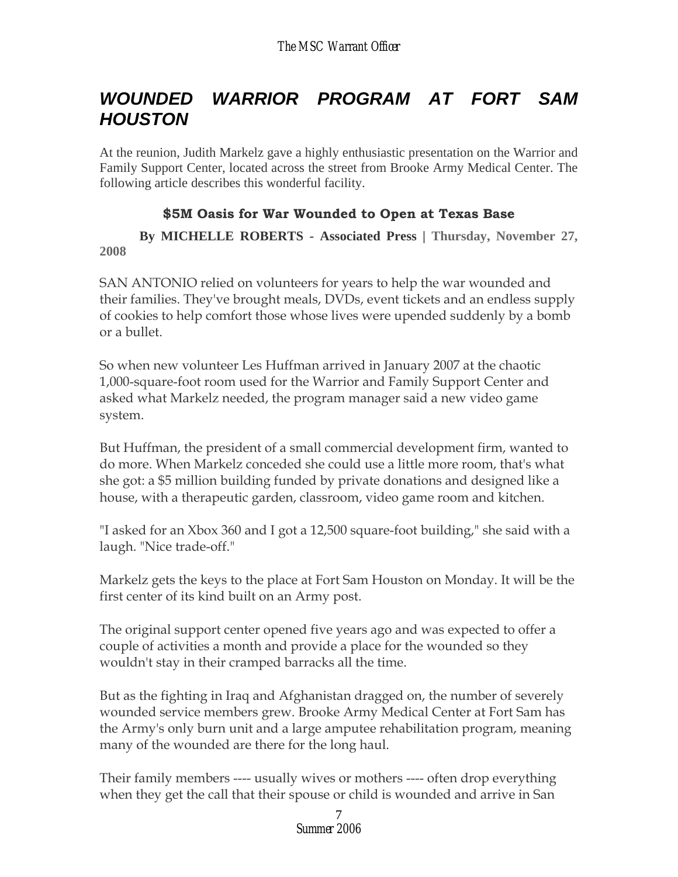# *WOUNDED WARRIOR PROGRAM AT FORT SAM HOUSTON*

At the reunion, Judith Markelz gave a highly enthusiastic presentation on the Warrior and Family Support Center, located across the street from Brooke Army Medical Center. The following article describes this wonderful facility.

## **\$5M Oasis for War Wounded to Open at Texas Base**

 **By MICHELLE ROBERTS - Associated Press | Thursday, November 27, 2008** 

SAN ANTONIO relied on volunteers for years to help the war wounded and their families. They've brought meals, DVDs, event tickets and an endless supply of cookies to help comfort those whose lives were upended suddenly by a bomb or a bullet.

So when new volunteer Les Huffman arrived in January 2007 at the chaotic 1,000-square-foot room used for the Warrior and Family Support Center and asked what Markelz needed, the program manager said a new video game system.

But Huffman, the president of a small commercial development firm, wanted to do more. When Markelz conceded she could use a little more room, that's what she got: a \$5 million building funded by private donations and designed like a house, with a therapeutic garden, classroom, video game room and kitchen.

"I asked for an Xbox 360 and I got a 12,500 square-foot building," she said with a laugh. "Nice trade-off."

Markelz gets the keys to the place at Fort Sam Houston on Monday. It will be the first center of its kind built on an Army post.

The original support center opened five years ago and was expected to offer a couple of activities a month and provide a place for the wounded so they wouldn't stay in their cramped barracks all the time.

But as the fighting in Iraq and Afghanistan dragged on, the number of severely wounded service members grew. Brooke Army Medical Center at Fort Sam has the Army's only burn unit and a large amputee rehabilitation program, meaning many of the wounded are there for the long haul.

Their family members ---- usually wives or mothers ---- often drop everything when they get the call that their spouse or child is wounded and arrive in San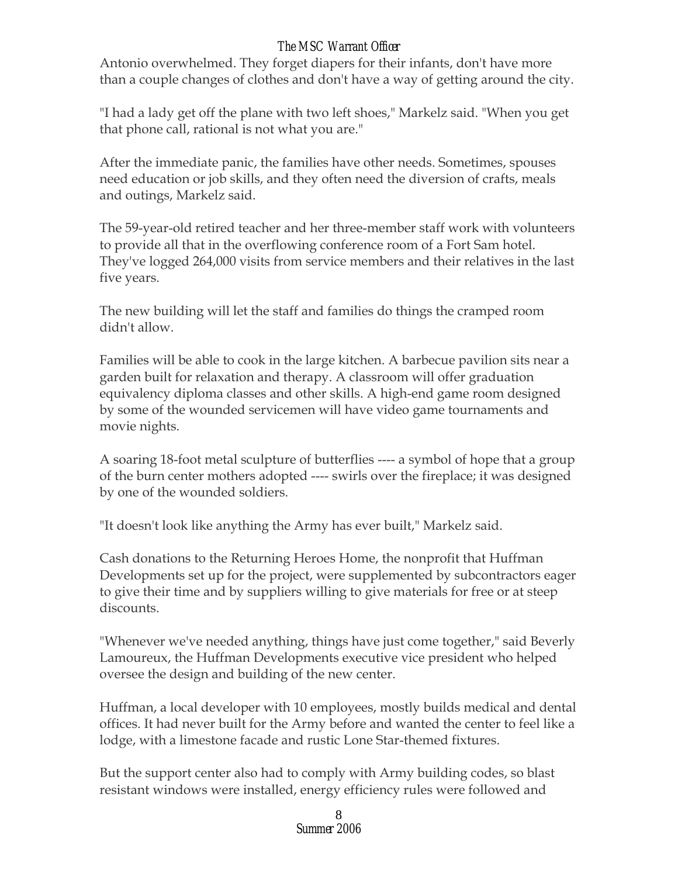Antonio overwhelmed. They forget diapers for their infants, don't have more than a couple changes of clothes and don't have a way of getting around the city.

"I had a lady get off the plane with two left shoes," Markelz said. "When you get that phone call, rational is not what you are."

After the immediate panic, the families have other needs. Sometimes, spouses need education or job skills, and they often need the diversion of crafts, meals and outings, Markelz said.

The 59-year-old retired teacher and her three-member staff work with volunteers to provide all that in the overflowing conference room of a Fort Sam hotel. They've logged 264,000 visits from service members and their relatives in the last five years.

The new building will let the staff and families do things the cramped room didn't allow.

Families will be able to cook in the large kitchen. A barbecue pavilion sits near a garden built for relaxation and therapy. A classroom will offer graduation equivalency diploma classes and other skills. A high-end game room designed by some of the wounded servicemen will have video game tournaments and movie nights.

A soaring 18-foot metal sculpture of butterflies ---- a symbol of hope that a group of the burn center mothers adopted ---- swirls over the fireplace; it was designed by one of the wounded soldiers.

"It doesn't look like anything the Army has ever built," Markelz said.

Cash donations to the Returning Heroes Home, the nonprofit that Huffman Developments set up for the project, were supplemented by subcontractors eager to give their time and by suppliers willing to give materials for free or at steep discounts.

"Whenever we've needed anything, things have just come together," said Beverly Lamoureux, the Huffman Developments executive vice president who helped oversee the design and building of the new center.

Huffman, a local developer with 10 employees, mostly builds medical and dental offices. It had never built for the Army before and wanted the center to feel like a lodge, with a limestone facade and rustic Lone Star-themed fixtures.

But the support center also had to comply with Army building codes, so blast resistant windows were installed, energy efficiency rules were followed and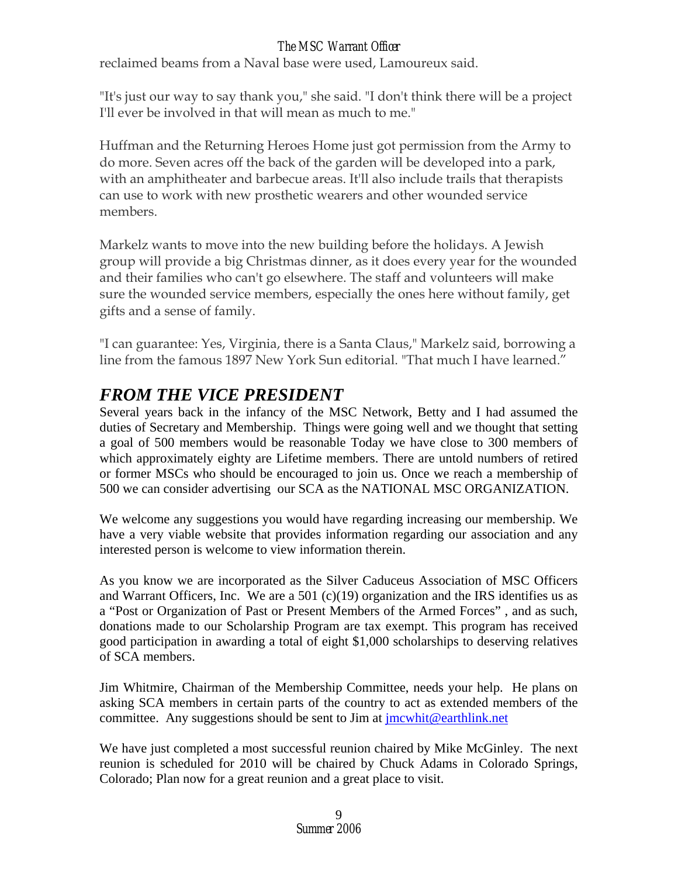reclaimed beams from a Naval base were used, Lamoureux said.

"It's just our way to say thank you," she said. "I don't think there will be a project I'll ever be involved in that will mean as much to me."

Huffman and the Returning Heroes Home just got permission from the Army to do more. Seven acres off the back of the garden will be developed into a park, with an amphitheater and barbecue areas. It'll also include trails that therapists can use to work with new prosthetic wearers and other wounded service members.

Markelz wants to move into the new building before the holidays. A Jewish group will provide a big Christmas dinner, as it does every year for the wounded and their families who can't go elsewhere. The staff and volunteers will make sure the wounded service members, especially the ones here without family, get gifts and a sense of family.

"I can guarantee: Yes, Virginia, there is a Santa Claus," Markelz said, borrowing a line from the famous 1897 New York Sun editorial. "That much I have learned."

# *FROM THE VICE PRESIDENT*

Several years back in the infancy of the MSC Network, Betty and I had assumed the duties of Secretary and Membership. Things were going well and we thought that setting a goal of 500 members would be reasonable Today we have close to 300 members of which approximately eighty are Lifetime members. There are untold numbers of retired or former MSCs who should be encouraged to join us. Once we reach a membership of 500 we can consider advertising our SCA as the NATIONAL MSC ORGANIZATION.

We welcome any suggestions you would have regarding increasing our membership. We have a very viable website that provides information regarding our association and any interested person is welcome to view information therein.

As you know we are incorporated as the Silver Caduceus Association of MSC Officers and Warrant Officers, Inc. We are a 501 (c)(19) organization and the IRS identifies us as a "Post or Organization of Past or Present Members of the Armed Forces" , and as such, donations made to our Scholarship Program are tax exempt. This program has received good participation in awarding a total of eight \$1,000 scholarships to deserving relatives of SCA members.

Jim Whitmire, Chairman of the Membership Committee, needs your help. He plans on asking SCA members in certain parts of the country to act as extended members of the committee. Any suggestions should be sent to Jim at [jmcwhit@earthlink.net](mailto:jmcwhit@earthlink.net)

We have just completed a most successful reunion chaired by Mike McGinley. The next reunion is scheduled for 2010 will be chaired by Chuck Adams in Colorado Springs, Colorado; Plan now for a great reunion and a great place to visit.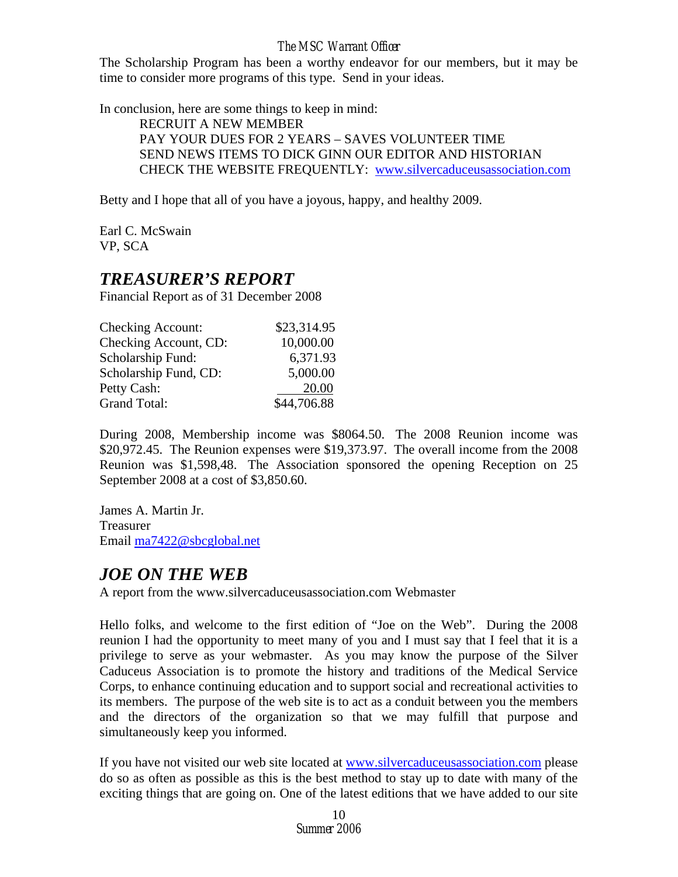The Scholarship Program has been a worthy endeavor for our members, but it may be time to consider more programs of this type. Send in your ideas.

In conclusion, here are some things to keep in mind:

 RECRUIT A NEW MEMBER PAY YOUR DUES FOR 2 YEARS – SAVES VOLUNTEER TIME SEND NEWS ITEMS TO DICK GINN OUR EDITOR AND HISTORIAN CHECK THE WEBSITE FREQUENTLY: [www.silvercaduceusassociation.com](http://www.silvercaduceusassociation.com/)

Betty and I hope that all of you have a joyous, happy, and healthy 2009.

Earl C. McSwain VP, SCA

## *TREASURER'S REPORT*

Financial Report as of 31 December 2008

| <b>Checking Account:</b> | \$23,314.95 |
|--------------------------|-------------|
| Checking Account, CD:    | 10,000.00   |
| Scholarship Fund:        | 6,371.93    |
| Scholarship Fund, CD:    | 5,000.00    |
| Petty Cash:              | 20.00       |
| <b>Grand Total:</b>      | \$44,706.88 |

During 2008, Membership income was \$8064.50. The 2008 Reunion income was \$20,972.45. The Reunion expenses were \$19,373.97. The overall income from the 2008 Reunion was \$1,598,48. The Association sponsored the opening Reception on 25 September 2008 at a cost of \$3,850.60.

James A. Martin Jr. Treasurer Email [ma7422@sbcglobal.net](mailto:ma7422@sbcglobal.net)

# *JOE ON THE WEB*

A report from the www.silvercaduceusassociation.com Webmaster

Hello folks, and welcome to the first edition of "Joe on the Web". During the 2008 reunion I had the opportunity to meet many of you and I must say that I feel that it is a privilege to serve as your webmaster. As you may know the purpose of the Silver Caduceus Association is to promote the history and traditions of the Medical Service Corps, to enhance continuing education and to support social and recreational activities to its members. The purpose of the web site is to act as a conduit between you the members and the directors of the organization so that we may fulfill that purpose and simultaneously keep you informed.

If you have not visited our web site located at [www.silvercaduceusassociation.com](http://www.silvercaduceusassociation.com/) please do so as often as possible as this is the best method to stay up to date with many of the exciting things that are going on. One of the latest editions that we have added to our site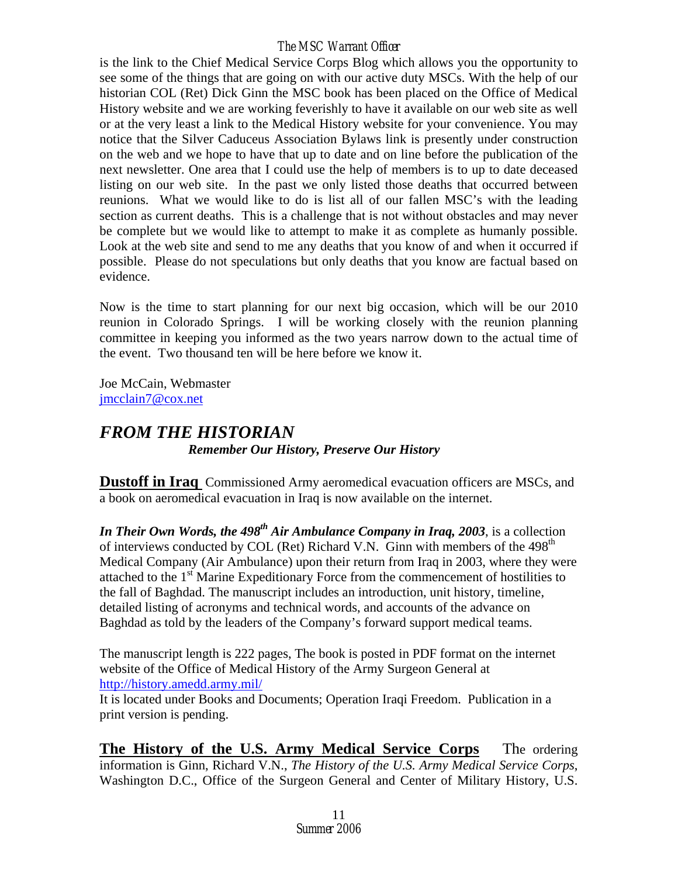is the link to the Chief Medical Service Corps Blog which allows you the opportunity to see some of the things that are going on with our active duty MSCs. With the help of our historian COL (Ret) Dick Ginn the MSC book has been placed on the Office of Medical History website and we are working feverishly to have it available on our web site as well or at the very least a link to the Medical History website for your convenience. You may notice that the Silver Caduceus Association Bylaws link is presently under construction on the web and we hope to have that up to date and on line before the publication of the next newsletter. One area that I could use the help of members is to up to date deceased listing on our web site. In the past we only listed those deaths that occurred between reunions. What we would like to do is list all of our fallen MSC's with the leading section as current deaths. This is a challenge that is not without obstacles and may never be complete but we would like to attempt to make it as complete as humanly possible. Look at the web site and send to me any deaths that you know of and when it occurred if possible. Please do not speculations but only deaths that you know are factual based on evidence.

Now is the time to start planning for our next big occasion, which will be our 2010 reunion in Colorado Springs. I will be working closely with the reunion planning committee in keeping you informed as the two years narrow down to the actual time of the event. Two thousand ten will be here before we know it.

Joe McCain, Webmaster [jmcclain7@cox.net](mailto:jmcclain7@cox.net)

# *FROM THE HISTORIAN Remember Our History, Preserve Our History*

**Dustoff in Iraq** Commissioned Army aeromedical evacuation officers are MSCs, and a book on aeromedical evacuation in Iraq is now available on the internet.

*In Their Own Words, the 498<sup>th</sup> Air Ambulance Company in Iraq, 2003, is a collection* of interviews conducted by COL (Ret) Richard V.N. Ginn with members of the  $498<sup>th</sup>$ Medical Company (Air Ambulance) upon their return from Iraq in 2003, where they were attached to the 1<sup>st</sup> Marine Expeditionary Force from the commencement of hostilities to the fall of Baghdad. The manuscript includes an introduction, unit history, timeline, detailed listing of acronyms and technical words, and accounts of the advance on Baghdad as told by the leaders of the Company's forward support medical teams.

The manuscript length is 222 pages, The book is posted in PDF format on the internet website of the Office of Medical History of the Army Surgeon General at <http://history.amedd.army.mil/>

It is located under Books and Documents; Operation Iraqi Freedom. Publication in a print version is pending.

**The History of the U.S. Army Medical Service Corps** The ordering information is Ginn, Richard V.N., *The History of the U.S. Army Medical Service Corps*, Washington D.C., Office of the Surgeon General and Center of Military History, U.S.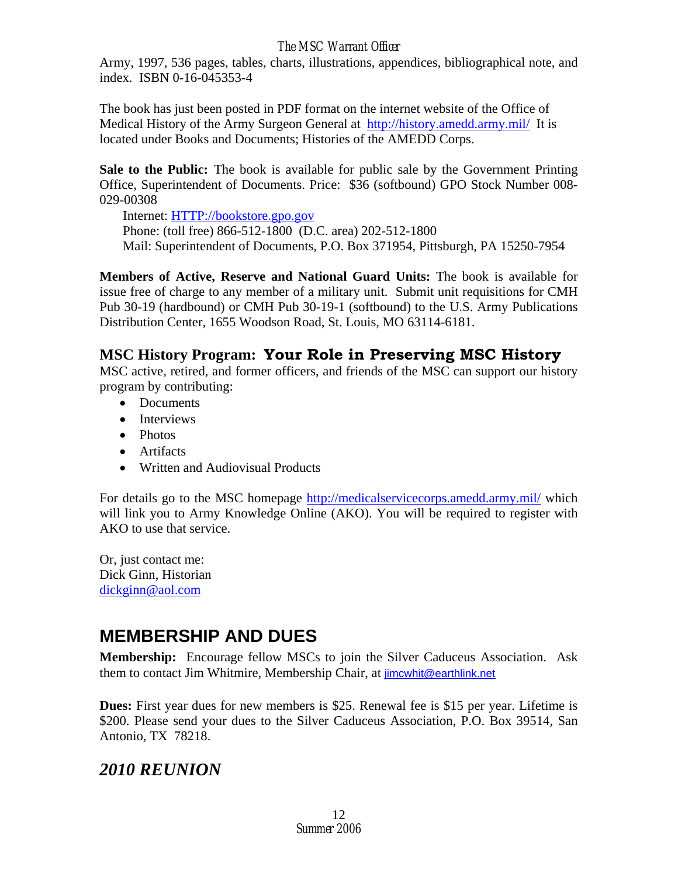Army, 1997, 536 pages, tables, charts, illustrations, appendices, bibliographical note, and index. ISBN 0-16-045353-4

The book has just been posted in PDF format on the internet website of the Office of Medical History of the Army Surgeon General at <http://history.amedd.army.mil/>It is located under Books and Documents; Histories of the AMEDD Corps.

**Sale to the Public:** The book is available for public sale by the Government Printing Office, Superintendent of Documents. Price: \$36 (softbound) GPO Stock Number 008- 029-00308

 Internet: [HTTP://bookstore.gpo.gov](http://bookstore.gpo.gov/) Phone: (toll free) 866-512-1800 (D.C. area) 202-512-1800 Mail: Superintendent of Documents, P.O. Box 371954, Pittsburgh, PA 15250-7954

**Members of Active, Reserve and National Guard Units:** The book is available for issue free of charge to any member of a military unit. Submit unit requisitions for CMH Pub 30-19 (hardbound) or CMH Pub 30-19-1 (softbound) to the U.S. Army Publications Distribution Center, 1655 Woodson Road, St. Louis, MO 63114-6181.

# **MSC History Program: Your Role in Preserving MSC History**

MSC active, retired, and former officers, and friends of the MSC can support our history program by contributing:

- Documents
- Interviews
- Photos
- Artifacts
- Written and Audiovisual Products

For details go to the MSC homepage <http://medicalservicecorps.amedd.army.mil/>which will link you to Army Knowledge Online (AKO). You will be required to register with AKO to use that service.

Or, just contact me: Dick Ginn, Historian [dickginn@aol.com](#page-0-0)

# **MEMBERSHIP AND DUES**

**Membership:** Encourage fellow MSCs to join the Silver Caduceus Association. Ask them to contact Jim Whitmire, Membership Chair, at [jimcwhit@earthlink.net](mailto:jimcwhit@earthlink.net)

**Dues:** First year dues for new members is \$25. Renewal fee is \$15 per year. Lifetime is \$200. Please send your dues to the Silver Caduceus Association, P.O. Box 39514, San Antonio, TX 78218.

# *2010 REUNION*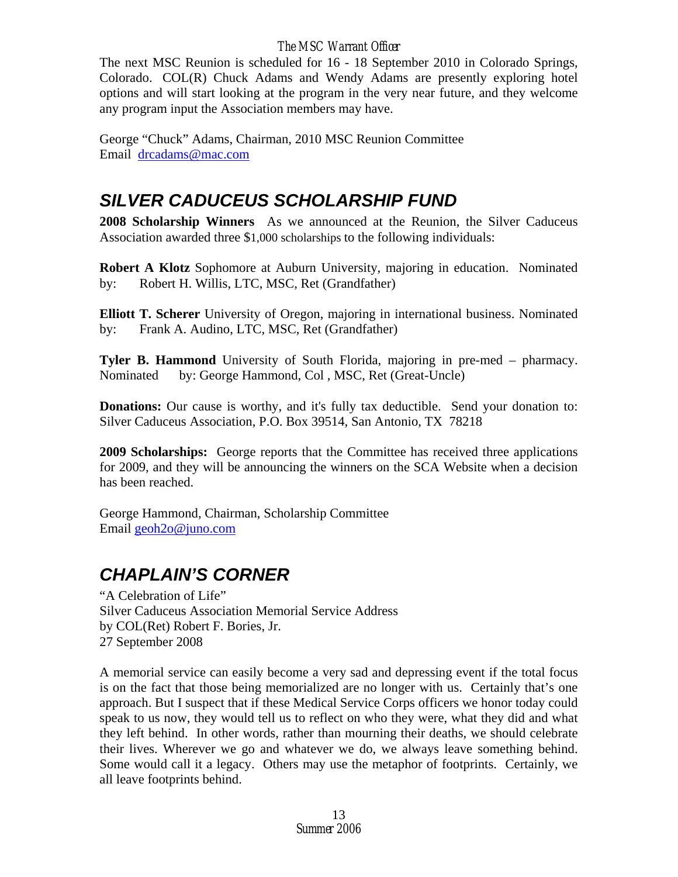The next MSC Reunion is scheduled for 16 - 18 September 2010 in Colorado Springs, Colorado. COL(R) Chuck Adams and Wendy Adams are presently exploring hotel options and will start looking at the program in the very near future, and they welcome any program input the Association members may have.

George "Chuck" Adams, Chairman, 2010 MSC Reunion Committee Email [drcadams@mac.com](mailto:drcadams@mac.com)

# *SILVER CADUCEUS SCHOLARSHIP FUND*

**2008 Scholarship Winners** As we announced at the Reunion, the Silver Caduceus Association awarded three \$1,000 scholarships to the following individuals:

**Robert A Klotz** Sophomore at Auburn University, majoring in education. Nominated by: Robert H. Willis, LTC, MSC, Ret (Grandfather)

**Elliott T. Scherer** University of Oregon, majoring in international business. Nominated by: Frank A. Audino, LTC, MSC, Ret (Grandfather)

**Tyler B. Hammond** University of South Florida, majoring in pre-med – pharmacy. Nominated by: George Hammond, Col , MSC, Ret (Great-Uncle)

**Donations:** Our cause is worthy, and it's fully tax deductible. Send your donation to: Silver Caduceus Association, P.O. Box 39514, San Antonio, TX 78218

**2009 Scholarships:** George reports that the Committee has received three applications for 2009, and they will be announcing the winners on the SCA Website when a decision has been reached.

George Hammond, Chairman, Scholarship Committee Email [geoh2o@juno.com](mailto:geoh2o@juno.com)

# *CHAPLAIN'S CORNER*

"A Celebration of Life" Silver Caduceus Association Memorial Service Address by COL(Ret) Robert F. Bories, Jr. 27 September 2008

A memorial service can easily become a very sad and depressing event if the total focus is on the fact that those being memorialized are no longer with us. Certainly that's one approach. But I suspect that if these Medical Service Corps officers we honor today could speak to us now, they would tell us to reflect on who they were, what they did and what they left behind. In other words, rather than mourning their deaths, we should celebrate their lives. Wherever we go and whatever we do, we always leave something behind. Some would call it a legacy. Others may use the metaphor of footprints. Certainly, we all leave footprints behind.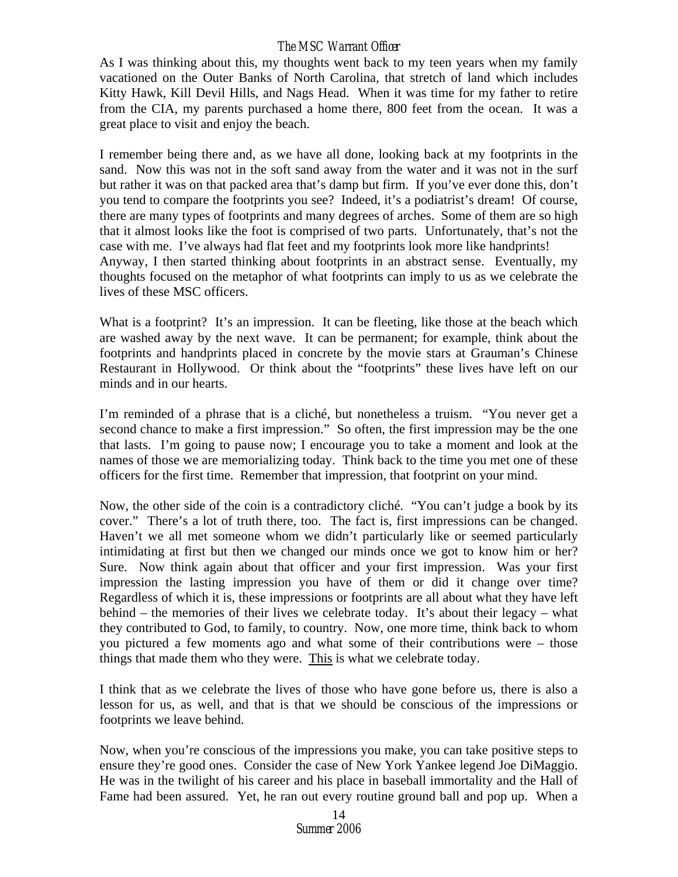As I was thinking about this, my thoughts went back to my teen years when my family vacationed on the Outer Banks of North Carolina, that stretch of land which includes Kitty Hawk, Kill Devil Hills, and Nags Head. When it was time for my father to retire from the CIA, my parents purchased a home there, 800 feet from the ocean. It was a great place to visit and enjoy the beach.

I remember being there and, as we have all done, looking back at my footprints in the sand. Now this was not in the soft sand away from the water and it was not in the surf but rather it was on that packed area that's damp but firm. If you've ever done this, don't you tend to compare the footprints you see? Indeed, it's a podiatrist's dream! Of course, there are many types of footprints and many degrees of arches. Some of them are so high that it almost looks like the foot is comprised of two parts. Unfortunately, that's not the case with me. I've always had flat feet and my footprints look more like handprints! Anyway, I then started thinking about footprints in an abstract sense. Eventually, my thoughts focused on the metaphor of what footprints can imply to us as we celebrate the lives of these MSC officers.

What is a footprint? It's an impression. It can be fleeting, like those at the beach which are washed away by the next wave. It can be permanent; for example, think about the footprints and handprints placed in concrete by the movie stars at Grauman's Chinese Restaurant in Hollywood. Or think about the "footprints" these lives have left on our minds and in our hearts.

I'm reminded of a phrase that is a cliché, but nonetheless a truism. "You never get a second chance to make a first impression." So often, the first impression may be the one that lasts. I'm going to pause now; I encourage you to take a moment and look at the names of those we are memorializing today. Think back to the time you met one of these officers for the first time. Remember that impression, that footprint on your mind.

Now, the other side of the coin is a contradictory cliché. "You can't judge a book by its cover." There's a lot of truth there, too. The fact is, first impressions can be changed. Haven't we all met someone whom we didn't particularly like or seemed particularly intimidating at first but then we changed our minds once we got to know him or her? Sure. Now think again about that officer and your first impression. Was your first impression the lasting impression you have of them or did it change over time? Regardless of which it is, these impressions or footprints are all about what they have left behind – the memories of their lives we celebrate today. It's about their legacy – what they contributed to God, to family, to country. Now, one more time, think back to whom you pictured a few moments ago and what some of their contributions were – those things that made them who they were. This is what we celebrate today.

I think that as we celebrate the lives of those who have gone before us, there is also a lesson for us, as well, and that is that we should be conscious of the impressions or footprints we leave behind.

Now, when you're conscious of the impressions you make, you can take positive steps to ensure they're good ones. Consider the case of New York Yankee legend Joe DiMaggio. He was in the twilight of his career and his place in baseball immortality and the Hall of Fame had been assured. Yet, he ran out every routine ground ball and pop up. When a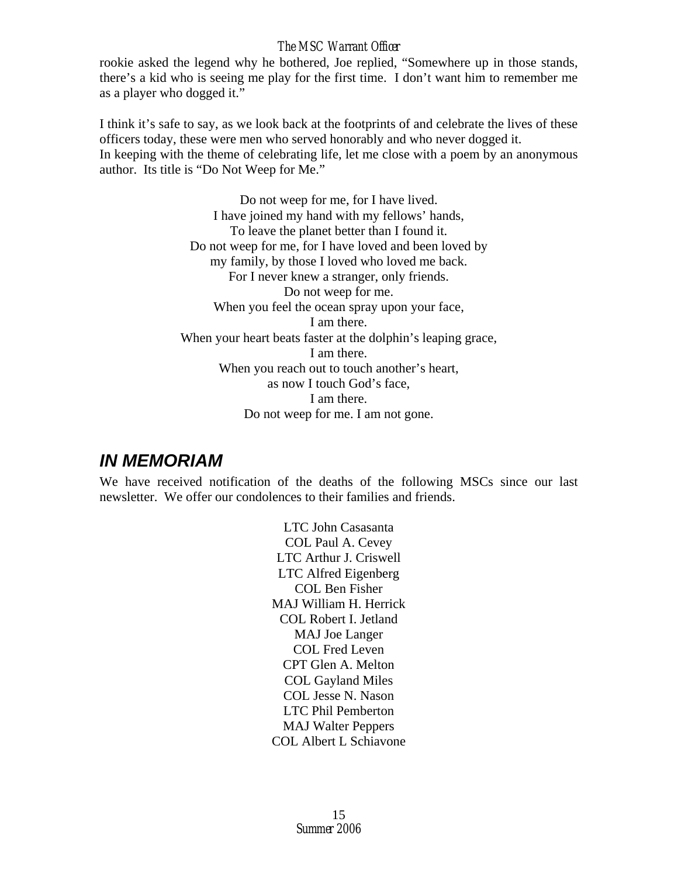rookie asked the legend why he bothered, Joe replied, "Somewhere up in those stands, there's a kid who is seeing me play for the first time. I don't want him to remember me as a player who dogged it."

I think it's safe to say, as we look back at the footprints of and celebrate the lives of these officers today, these were men who served honorably and who never dogged it. In keeping with the theme of celebrating life, let me close with a poem by an anonymous author. Its title is "Do Not Weep for Me."

> Do not weep for me, for I have lived. I have joined my hand with my fellows' hands, To leave the planet better than I found it. Do not weep for me, for I have loved and been loved by my family, by those I loved who loved me back. For I never knew a stranger, only friends. Do not weep for me. When you feel the ocean spray upon your face, I am there. When your heart beats faster at the dolphin's leaping grace, I am there. When you reach out to touch another's heart, as now I touch God's face, I am there. Do not weep for me. I am not gone.

# *IN MEMORIAM*

We have received notification of the deaths of the following MSCs since our last newsletter. We offer our condolences to their families and friends.

> LTC John Casasanta COL Paul A. Cevey LTC Arthur J. Criswell LTC Alfred Eigenberg COL Ben Fisher MAJ William H. Herrick COL Robert I. Jetland MAJ Joe Langer COL Fred Leven CPT Glen A. Melton COL Gayland Miles COL Jesse N. Nason LTC Phil Pemberton MAJ Walter Peppers COL Albert L Schiavone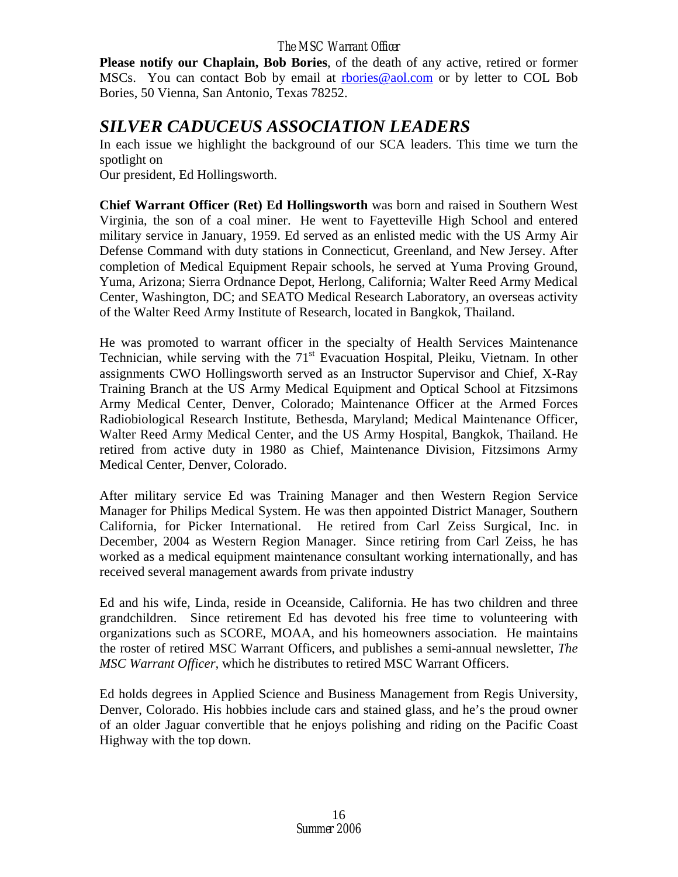**Please notify our Chaplain, Bob Bories**, of the death of any active, retired or former MSCs. You can contact Bob by email at [rbories@aol.com](mailto:rbories@aol.com) or by letter to COL Bob Bories, 50 Vienna, San Antonio, Texas 78252.

# *SILVER CADUCEUS ASSOCIATION LEADERS*

In each issue we highlight the background of our SCA leaders. This time we turn the spotlight on

Our president, Ed Hollingsworth.

**Chief Warrant Officer (Ret) Ed Hollingsworth** was born and raised in Southern West Virginia, the son of a coal miner. He went to Fayetteville High School and entered military service in January, 1959. Ed served as an enlisted medic with the US Army Air Defense Command with duty stations in Connecticut, Greenland, and New Jersey. After completion of Medical Equipment Repair schools, he served at Yuma Proving Ground, Yuma, Arizona; Sierra Ordnance Depot, Herlong, California; Walter Reed Army Medical Center, Washington, DC; and SEATO Medical Research Laboratory, an overseas activity of the Walter Reed Army Institute of Research, located in Bangkok, Thailand.

He was promoted to warrant officer in the specialty of Health Services Maintenance Technician, while serving with the  $71<sup>st</sup>$  Evacuation Hospital, Pleiku, Vietnam. In other assignments CWO Hollingsworth served as an Instructor Supervisor and Chief, X-Ray Training Branch at the US Army Medical Equipment and Optical School at Fitzsimons Army Medical Center, Denver, Colorado; Maintenance Officer at the Armed Forces Radiobiological Research Institute, Bethesda, Maryland; Medical Maintenance Officer, Walter Reed Army Medical Center, and the US Army Hospital, Bangkok, Thailand. He retired from active duty in 1980 as Chief, Maintenance Division, Fitzsimons Army Medical Center, Denver, Colorado.

After military service Ed was Training Manager and then Western Region Service Manager for Philips Medical System. He was then appointed District Manager, Southern California, for Picker International. He retired from Carl Zeiss Surgical, Inc. in December, 2004 as Western Region Manager. Since retiring from Carl Zeiss, he has worked as a medical equipment maintenance consultant working internationally, and has received several management awards from private industry

Ed and his wife, Linda, reside in Oceanside, California. He has two children and three grandchildren. Since retirement Ed has devoted his free time to volunteering with organizations such as SCORE, MOAA, and his homeowners association. He maintains the roster of retired MSC Warrant Officers, and publishes a semi-annual newsletter, *The MSC Warrant Officer,* which he distributes to retired MSC Warrant Officers.

Ed holds degrees in Applied Science and Business Management from Regis University, Denver, Colorado. His hobbies include cars and stained glass, and he's the proud owner of an older Jaguar convertible that he enjoys polishing and riding on the Pacific Coast Highway with the top down.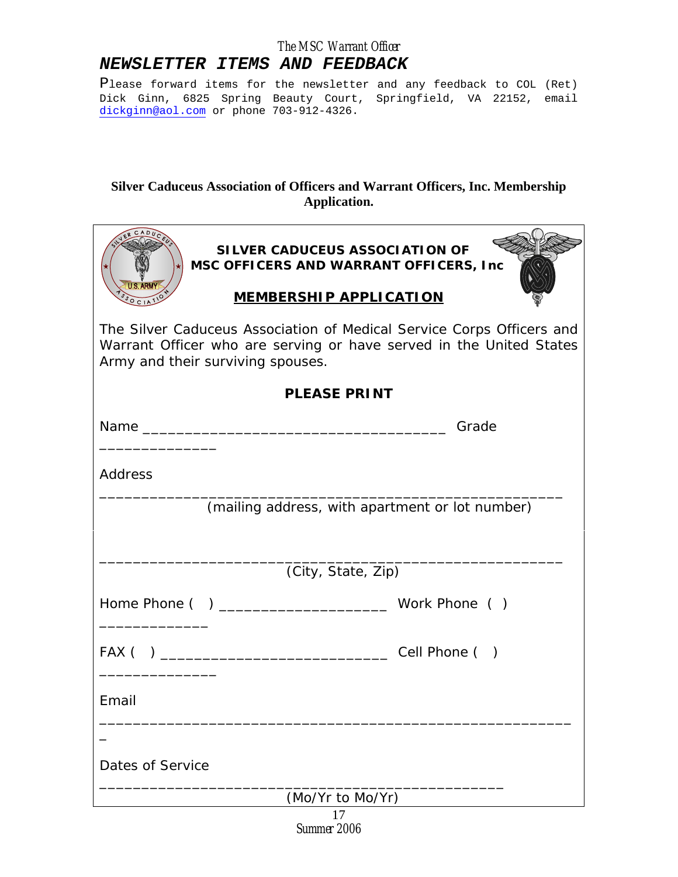## *NEWSLETTER ITEMS AND FEEDBACK*

Please forward items for the newsletter and any feedback to COL (Ret) Dick Ginn, 6825 Spring Beauty Court, Springfield, VA 22152, email [dickginn@aol.com](mailto:dickginn@aol.com) or phone 703-912-4326.

## **Silver Caduceus Association of Officers and Warrant Officers, Inc. Membership Application.**

| SILVER CADUCEUS ASSOCIATION OF<br>MSC OFFICERS AND WARRANT OFFICERS, Inc.                                                                                                         |  |  |
|-----------------------------------------------------------------------------------------------------------------------------------------------------------------------------------|--|--|
| <b>MEMBERSHIP APPLICATION</b>                                                                                                                                                     |  |  |
| The Silver Caduceus Association of Medical Service Corps Officers and<br>Warrant Officer who are serving or have served in the United States<br>Army and their surviving spouses. |  |  |
| <b>PLEASE PRINT</b>                                                                                                                                                               |  |  |
|                                                                                                                                                                                   |  |  |
|                                                                                                                                                                                   |  |  |
| Address                                                                                                                                                                           |  |  |
| (mailing address, with apartment or lot number)                                                                                                                                   |  |  |
|                                                                                                                                                                                   |  |  |
| (City, State, Zip)                                                                                                                                                                |  |  |
|                                                                                                                                                                                   |  |  |
|                                                                                                                                                                                   |  |  |
|                                                                                                                                                                                   |  |  |
| Email                                                                                                                                                                             |  |  |
|                                                                                                                                                                                   |  |  |
|                                                                                                                                                                                   |  |  |
| Dates of Service                                                                                                                                                                  |  |  |
| (Mo/Yr to Mo/Yr)                                                                                                                                                                  |  |  |
| 17                                                                                                                                                                                |  |  |